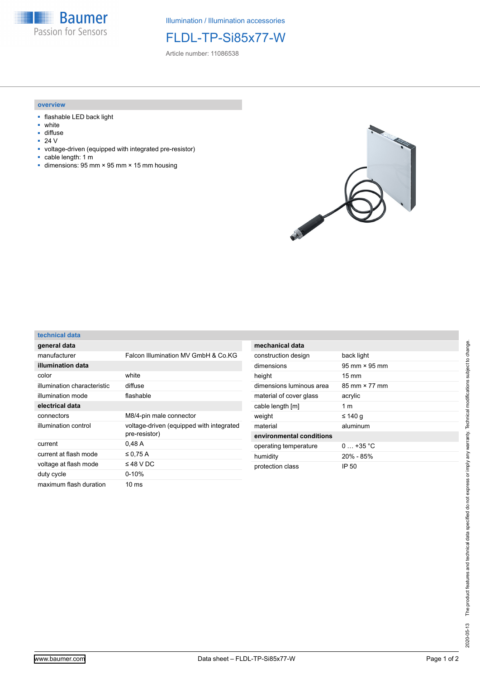

Illumination / Illumination accessories

## FLDL-TP-Si85x77-W

Article number: 11086538

## **overview**

- flashable LED back light
- white
- diffuse<br>■ 24  $V$

**technical data**

- 24 V
- voltage-driven (equipped with integrated pre-resistor)
- cable length: 1 m
- dimensions: 95 mm × 95 mm × 15 mm housing



| general data                |                                                           |
|-----------------------------|-----------------------------------------------------------|
| manufacturer                | Falcon Illumination MV GmbH & Co KG                       |
| illumination data           |                                                           |
| color                       | white                                                     |
| illumination characteristic | diffuse                                                   |
| illumination mode           | flashable                                                 |
| electrical data             |                                                           |
| connectors                  | M8/4-pin male connector                                   |
| illumination control        | voltage-driven (equipped with integrated<br>pre-resistor) |
| current                     | 0,48A                                                     |
| current at flash mode       | $\leq$ 0.75 A                                             |
| voltage at flash mode       | $\leq$ 48 V DC                                            |
| duty cycle                  | $0 - 10%$                                                 |
| maximum flash duration      | 10 ms                                                     |

| mechanical data          |                                      |
|--------------------------|--------------------------------------|
| construction design      | back light                           |
| dimensions               | $95 \text{ mm} \times 95 \text{ mm}$ |
| height                   | $15 \text{ mm}$                      |
| dimensions luminous area | $85 \text{ mm} \times 77 \text{ mm}$ |
| material of cover glass  | acrylic                              |
| cable length [m]         | 1 m                                  |
| weight                   | ≤ 140 g                              |
| material                 | aluminum                             |
| environmental conditions |                                      |
| operating temperature    | $0 + 35 °C$                          |
| humidity                 | $20\% - 85\%$                        |
| protection class         | IP 50                                |